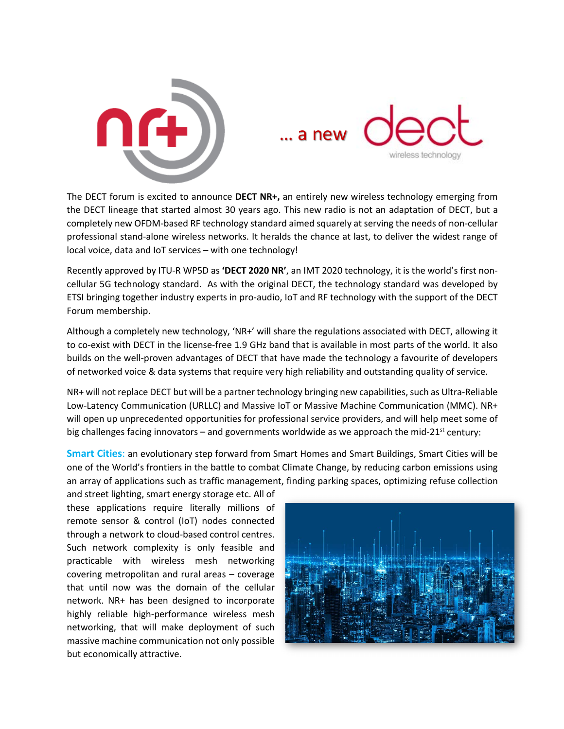



The DECT forum is excited to announce **DECT NR+,** an entirely new wireless technology emerging from the DECT lineage that started almost 30 years ago. This new radio is not an adaptation of DECT, but a completely new OFDM-based RF technology standard aimed squarely at serving the needs of non-cellular professional stand-alone wireless networks. It heralds the chance at last, to deliver the widest range of local voice, data and IoT services – with one technology!

Recently approved by ITU-R WP5D as **'DECT 2020 NR'**, an IMT 2020 technology, it is the world's first noncellular 5G technology standard. As with the original DECT, the technology standard was developed by ETSI bringing together industry experts in pro-audio, IoT and RF technology with the support of the DECT Forum membership.

Although a completely new technology, 'NR+' will share the regulations associated with DECT, allowing it to co-exist with DECT in the license-free 1.9 GHz band that is available in most parts of the world. It also builds on the well-proven advantages of DECT that have made the technology a favourite of developers of networked voice & data systems that require very high reliability and outstanding quality of service.

NR+ will not replace DECT but will be a partner technology bringing new capabilities, such as Ultra-Reliable Low-Latency Communication (URLLC) and Massive IoT or Massive Machine Communication (MMC). NR+ will open up unprecedented opportunities for professional service providers, and will help meet some of big challenges facing innovators – and governments worldwide as we approach the mid-21 $st$  century:

**Smart Cities**: an evolutionary step forward from Smart Homes and Smart Buildings, Smart Cities will be one of the World's frontiers in the battle to combat Climate Change, by reducing carbon emissions using an array of applications such as traffic management, finding parking spaces, optimizing refuse collection

and street lighting, smart energy storage etc. All of these applications require literally millions of remote sensor & control (IoT) nodes connected through a network to cloud-based control centres. Such network complexity is only feasible and practicable with wireless mesh networking covering metropolitan and rural areas – coverage that until now was the domain of the cellular network. NR+ has been designed to incorporate highly reliable high-performance wireless mesh networking, that will make deployment of such massive machine communication not only possible but economically attractive.